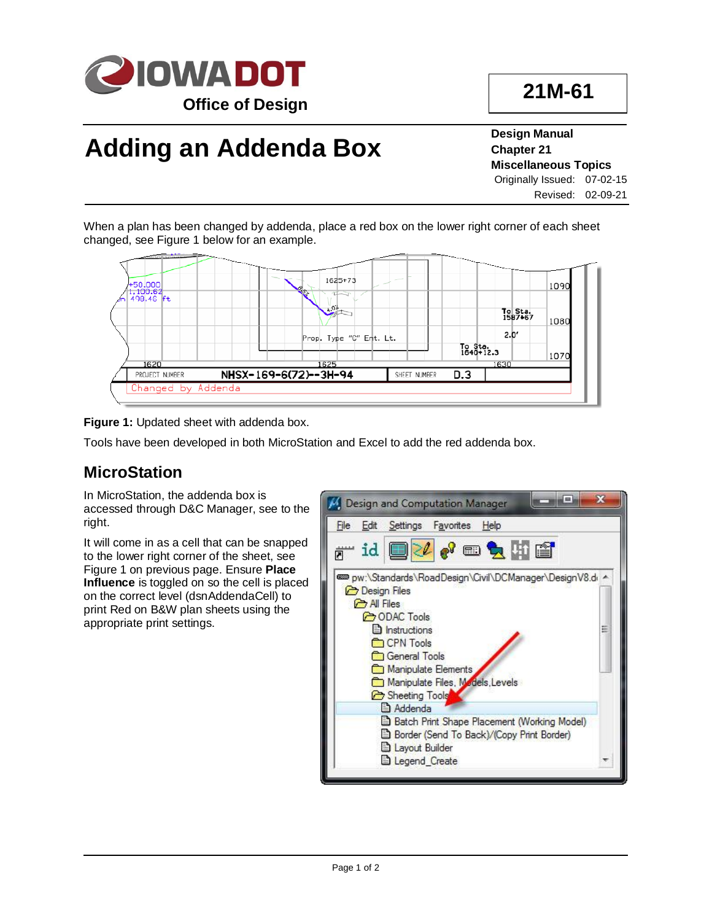

# **Adding an Addenda Box**

**Design Manual Chapter 21 Miscellaneous Topics** Originally Issued: 07-02-15 Revised: 02-09-21

When a plan has been changed by addenda, place a red box on the lower right corner of each sheet changed, see Figure 1 below for an example.



**Figure 1:** Updated sheet with addenda box.

Tools have been developed in both MicroStation and Excel to add the red addenda box.

#### **MicroStation**

In MicroStation, the addenda box is accessed through D&C Manager, see to the right.

It will come in as a cell that can be snapped to the lower right corner of the sheet, see Figure 1 on previous page. Ensure **Place Influence** is toggled on so the cell is placed on the correct level (dsnAddendaCell) to print Red on B&W plan sheets using the appropriate print settings.

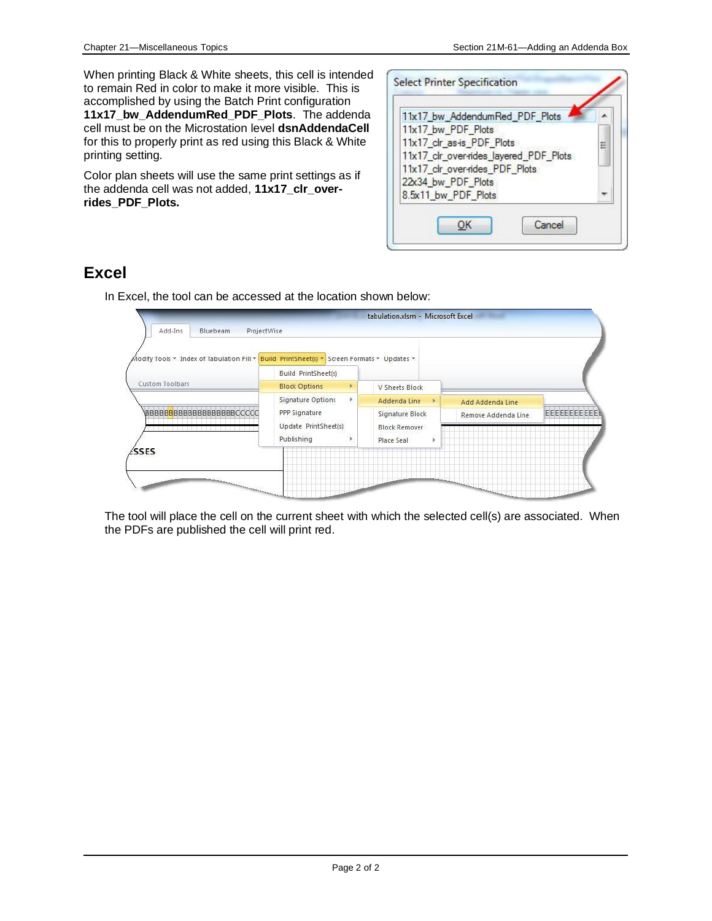When printing Black & White sheets, this cell is intended to remain Red in color to make it more visible. This is accomplished by using the Batch Print configuration **11x17\_bw\_AddendumRed\_PDF\_Plots**. The addenda cell must be on the Microstation level **dsnAddendaCell** for this to properly print as red using this Black & White printing setting.

Color plan sheets will use the same print settings as if the addenda cell was not added, **11x17\_clr\_overrides\_PDF\_Plots.**



### **Excel**

In Excel, the tool can be accessed at the location shown below:



The tool will place the cell on the current sheet with which the selected cell(s) are associated. When the PDFs are published the cell will print red.